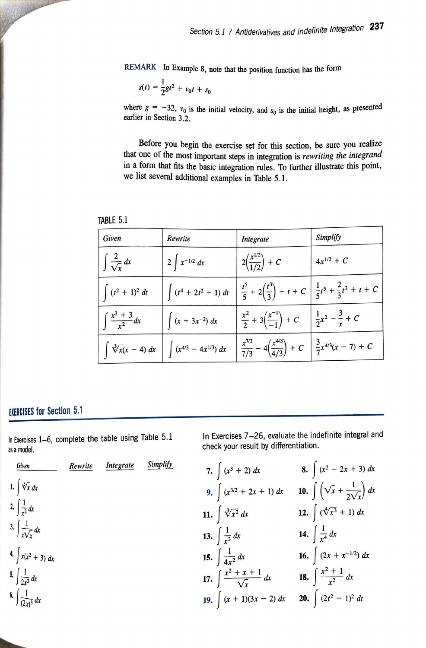REMARK In Example 8, note that the position function has the form

$$
s(t) = \frac{1}{2}gt^2 + v_0t + s_0
$$

where  $g = -32$ ,  $v_0$  is the initial velocity, and  $s_0$  is the initial height, as presented earlier in Section 3.2.

Before you begin the exercise set for this section, be sure you realize that one of the most important steps in integration is *rewriting the integrand* m a form that fits the basic integration rules. To further illustrate this point, we list several additional examples in Table 5.1.

| Given                        | Rewrite                        | Integrate                                                                                         | Simplify                         |
|------------------------------|--------------------------------|---------------------------------------------------------------------------------------------------|----------------------------------|
| $\int \frac{2}{\sqrt{x}} dx$ | $2 \int x^{-1/2} dx$           | $2\left(\frac{x^{1/2}}{1/2}\right) + C$                                                           | $4x^{1/2} + C$                   |
| $(t^2 + 1)^2 dt$             | $(t^4 + 2t^2 + 1) dt$          | $\frac{t^5}{5} + 2\left(\frac{t^3}{3}\right) + t + C$ $\frac{1}{5}t^5 + \frac{2}{3}t^3 + t + C$   |                                  |
| $\int \frac{x^3+3}{x^2} dx$  | $\int (x + 3x^{-2}) dx$        | $rac{x^2}{2} + 3\left(\frac{x^{-1}}{-1}\right) + C$                                               | $rac{1}{2}x^2 - \frac{3}{x} + C$ |
| $\int \sqrt[3]{x(x-4)} dx$   | $\int (x^{4/3} - 4x^{1/3}) dx$ | $\frac{x^{7/3}}{7/3} - 4\left(\frac{x^{4/3}}{4/3}\right) + C \quad \frac{3}{7}x^{4/3}(x - 7) + C$ |                                  |

| TABLE 5.<br>- 1. |
|------------------|
|                  |

## **EXERCISES for Section 5.1**

Jadamas

In Exercises 1-6, complete the table using Table 5.1 as a model.



In Exercises 7-26, evaluate the indefinite integral and check your result by differentiation.

7. 
$$
\int (x^3 + 2) dx
$$
  
\n8.  $\int (x^2 - 2x + 3) dx$   
\n9.  $\int (x^{3/2} + 2x + 1) dx$   
\n10.  $\int \left(\sqrt{x} + \frac{1}{2\sqrt{x}}\right) dx$   
\n11.  $\int \sqrt[3]{x^2} dx$   
\n12.  $\int (\sqrt[4]{x^3} + 1) dx$   
\n13.  $\int \frac{1}{x^3} dx$   
\n14.  $\int \frac{1}{x^4} dx$   
\n15.  $\int \frac{1}{4x^2} dx$   
\n16.  $\int (2x + x^{-1/2}) dx$   
\n17.  $\int \frac{x^2 + x + 1}{\sqrt{x}} dx$   
\n18.  $\int \frac{x^2 + 1}{x^2} dx$   
\n19.  $\int (x + 1)(3x - 2) dx$   
\n20.  $\int (2t^2 - 1)^2 dt$